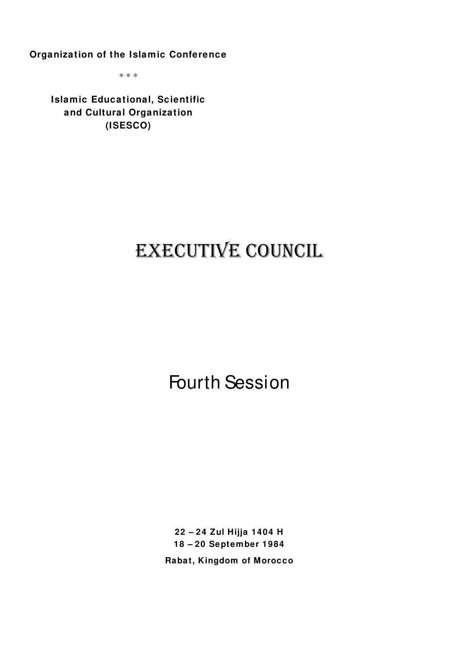**Organization of the Islamic Conference**

\* \* \*

**Islamic Educational, Scientific and Cultural Organization (ISESCO)** 

# EXECUTIVE COUNCIL

Fourth Session

**22 – 24 Zul Hijja 1404 H 18 – 20 September 1984 Rabat, Kingdom of Morocco**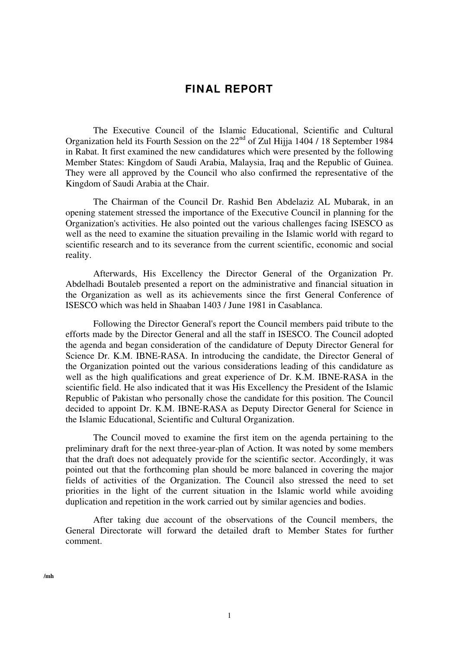## **FINAL REPORT**

The Executive Council of the Islamic Educational, Scientific and Cultural Organization held its Fourth Session on the 22<sup>nd</sup> of Zul Hijja 1404 / 18 September 1984 in Rabat. It first examined the new candidatures which were presented by the following Member States: Kingdom of Saudi Arabia, Malaysia, Iraq and the Republic of Guinea. They were all approved by the Council who also confirmed the representative of the Kingdom of Saudi Arabia at the Chair.

The Chairman of the Council Dr. Rashid Ben Abdelaziz AL Mubarak, in an opening statement stressed the importance of the Executive Council in planning for the Organization's activities. He also pointed out the various challenges facing ISESCO as well as the need to examine the situation prevailing in the Islamic world with regard to scientific research and to its severance from the current scientific, economic and social reality.

Afterwards, His Excellency the Director General of the Organization Pr. Abdelhadi Boutaleb presented a report on the administrative and financial situation in the Organization as well as its achievements since the first General Conference of ISESCO which was held in Shaaban 1403 / June 1981 in Casablanca.

Following the Director General's report the Council members paid tribute to the efforts made by the Director General and all the staff in ISESCO. The Council adopted the agenda and began consideration of the candidature of Deputy Director General for Science Dr. K.M. IBNE-RASA. In introducing the candidate, the Director General of the Organization pointed out the various considerations leading of this candidature as well as the high qualifications and great experience of Dr. K.M. IBNE-RASA in the scientific field. He also indicated that it was His Excellency the President of the Islamic Republic of Pakistan who personally chose the candidate for this position. The Council decided to appoint Dr. K.M. IBNE-RASA as Deputy Director General for Science in the Islamic Educational, Scientific and Cultural Organization.

The Council moved to examine the first item on the agenda pertaining to the preliminary draft for the next three-year-plan of Action. It was noted by some members that the draft does not adequately provide for the scientific sector. Accordingly, it was pointed out that the forthcoming plan should be more balanced in covering the major fields of activities of the Organization. The Council also stressed the need to set priorities in the light of the current situation in the Islamic world while avoiding duplication and repetition in the work carried out by similar agencies and bodies.

After taking due account of the observations of the Council members, the General Directorate will forward the detailed draft to Member States for further comment.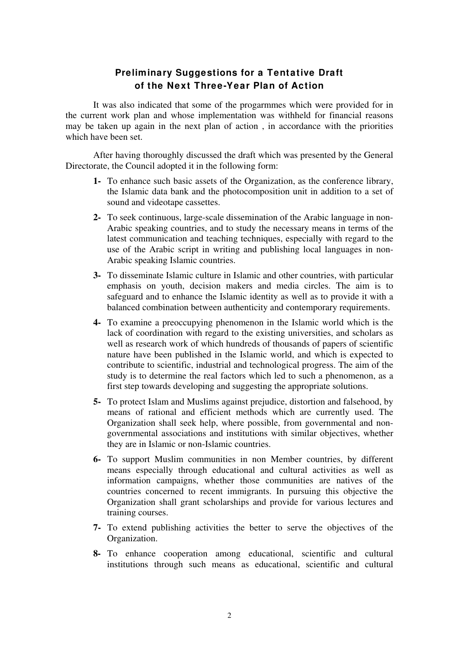# **Preliminary Suggestions for a Tentative Draft of the Next Three-Year Plan of Action**

It was also indicated that some of the progarmmes which were provided for in the current work plan and whose implementation was withheld for financial reasons may be taken up again in the next plan of action , in accordance with the priorities which have been set.

After having thoroughly discussed the draft which was presented by the General Directorate, the Council adopted it in the following form:

- **1-** To enhance such basic assets of the Organization, as the conference library, the Islamic data bank and the photocomposition unit in addition to a set of sound and videotape cassettes.
- **2-** To seek continuous, large-scale dissemination of the Arabic language in non-Arabic speaking countries, and to study the necessary means in terms of the latest communication and teaching techniques, especially with regard to the use of the Arabic script in writing and publishing local languages in non-Arabic speaking Islamic countries.
- **3-** To disseminate Islamic culture in Islamic and other countries, with particular emphasis on youth, decision makers and media circles. The aim is to safeguard and to enhance the Islamic identity as well as to provide it with a balanced combination between authenticity and contemporary requirements.
- **4-** To examine a preoccupying phenomenon in the Islamic world which is the lack of coordination with regard to the existing universities, and scholars as well as research work of which hundreds of thousands of papers of scientific nature have been published in the Islamic world, and which is expected to contribute to scientific, industrial and technological progress. The aim of the study is to determine the real factors which led to such a phenomenon, as a first step towards developing and suggesting the appropriate solutions.
- **5-** To protect Islam and Muslims against prejudice, distortion and falsehood, by means of rational and efficient methods which are currently used. The Organization shall seek help, where possible, from governmental and nongovernmental associations and institutions with similar objectives, whether they are in Islamic or non-Islamic countries.
- **6-** To support Muslim communities in non Member countries, by different means especially through educational and cultural activities as well as information campaigns, whether those communities are natives of the countries concerned to recent immigrants. In pursuing this objective the Organization shall grant scholarships and provide for various lectures and training courses.
- **7-** To extend publishing activities the better to serve the objectives of the Organization.
- **8-** To enhance cooperation among educational, scientific and cultural institutions through such means as educational, scientific and cultural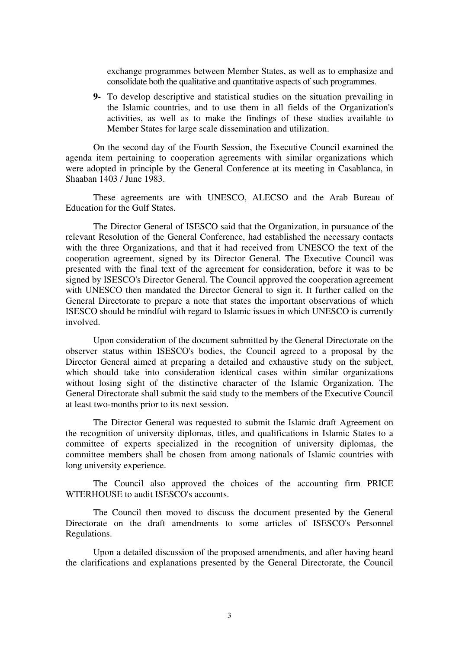exchange programmes between Member States, as well as to emphasize and consolidate both the qualitative and quantitative aspects of such programmes.

**9-** To develop descriptive and statistical studies on the situation prevailing in the Islamic countries, and to use them in all fields of the Organization's activities, as well as to make the findings of these studies available to Member States for large scale dissemination and utilization.

On the second day of the Fourth Session, the Executive Council examined the agenda item pertaining to cooperation agreements with similar organizations which were adopted in principle by the General Conference at its meeting in Casablanca, in Shaaban 1403 / June 1983.

These agreements are with UNESCO, ALECSO and the Arab Bureau of Education for the Gulf States.

The Director General of ISESCO said that the Organization, in pursuance of the relevant Resolution of the General Conference, had established the necessary contacts with the three Organizations, and that it had received from UNESCO the text of the cooperation agreement, signed by its Director General. The Executive Council was presented with the final text of the agreement for consideration, before it was to be signed by ISESCO's Director General. The Council approved the cooperation agreement with UNESCO then mandated the Director General to sign it. It further called on the General Directorate to prepare a note that states the important observations of which ISESCO should be mindful with regard to Islamic issues in which UNESCO is currently involved.

Upon consideration of the document submitted by the General Directorate on the observer status within ISESCO's bodies, the Council agreed to a proposal by the Director General aimed at preparing a detailed and exhaustive study on the subject, which should take into consideration identical cases within similar organizations without losing sight of the distinctive character of the Islamic Organization. The General Directorate shall submit the said study to the members of the Executive Council at least two-months prior to its next session.

The Director General was requested to submit the Islamic draft Agreement on the recognition of university diplomas, titles, and qualifications in Islamic States to a committee of experts specialized in the recognition of university diplomas, the committee members shall be chosen from among nationals of Islamic countries with long university experience.

The Council also approved the choices of the accounting firm PRICE WTERHOUSE to audit ISESCO's accounts.

The Council then moved to discuss the document presented by the General Directorate on the draft amendments to some articles of ISESCO's Personnel Regulations.

Upon a detailed discussion of the proposed amendments, and after having heard the clarifications and explanations presented by the General Directorate, the Council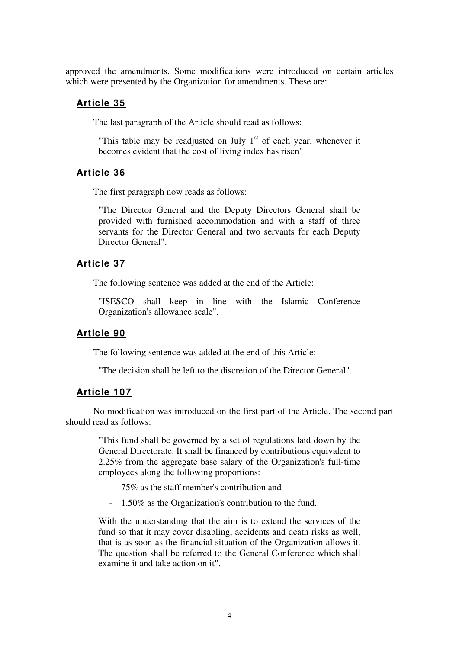approved the amendments. Some modifications were introduced on certain articles which were presented by the Organization for amendments. These are:

## **Article 35**

The last paragraph of the Article should read as follows:

"This table may be readjusted on July  $1<sup>st</sup>$  of each year, whenever it becomes evident that the cost of living index has risen"

### **Article 36**

The first paragraph now reads as follows:

"The Director General and the Deputy Directors General shall be provided with furnished accommodation and with a staff of three servants for the Director General and two servants for each Deputy Director General".

#### **Article 37**

The following sentence was added at the end of the Article:

"ISESCO shall keep in line with the Islamic Conference Organization's allowance scale".

#### **Article 90**

The following sentence was added at the end of this Article:

"The decision shall be left to the discretion of the Director General".

### **Article 107**

No modification was introduced on the first part of the Article. The second part should read as follows:

"This fund shall be governed by a set of regulations laid down by the General Directorate. It shall be financed by contributions equivalent to 2.25% from the aggregate base salary of the Organization's full-time employees along the following proportions:

- 75% as the staff member's contribution and
- 1.50% as the Organization's contribution to the fund.

With the understanding that the aim is to extend the services of the fund so that it may cover disabling, accidents and death risks as well, that is as soon as the financial situation of the Organization allows it. The question shall be referred to the General Conference which shall examine it and take action on it".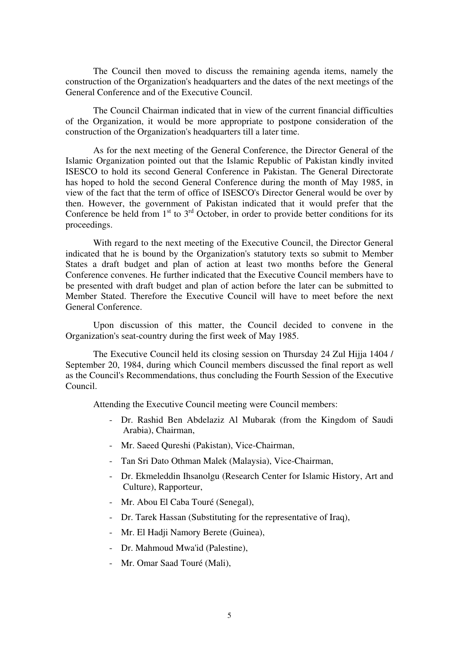The Council then moved to discuss the remaining agenda items, namely the construction of the Organization's headquarters and the dates of the next meetings of the General Conference and of the Executive Council.

The Council Chairman indicated that in view of the current financial difficulties of the Organization, it would be more appropriate to postpone consideration of the construction of the Organization's headquarters till a later time.

As for the next meeting of the General Conference, the Director General of the Islamic Organization pointed out that the Islamic Republic of Pakistan kindly invited ISESCO to hold its second General Conference in Pakistan. The General Directorate has hoped to hold the second General Conference during the month of May 1985, in view of the fact that the term of office of ISESCO's Director General would be over by then. However, the government of Pakistan indicated that it would prefer that the Conference be held from  $1<sup>st</sup>$  to  $3<sup>rd</sup>$  October, in order to provide better conditions for its proceedings.

With regard to the next meeting of the Executive Council, the Director General indicated that he is bound by the Organization's statutory texts so submit to Member States a draft budget and plan of action at least two months before the General Conference convenes. He further indicated that the Executive Council members have to be presented with draft budget and plan of action before the later can be submitted to Member Stated. Therefore the Executive Council will have to meet before the next General Conference.

Upon discussion of this matter, the Council decided to convene in the Organization's seat-country during the first week of May 1985.

The Executive Council held its closing session on Thursday 24 Zul Hijja 1404 / September 20, 1984, during which Council members discussed the final report as well as the Council's Recommendations, thus concluding the Fourth Session of the Executive Council.

Attending the Executive Council meeting were Council members:

- Dr. Rashid Ben Abdelaziz Al Mubarak (from the Kingdom of Saudi Arabia), Chairman,
- Mr. Saeed Qureshi (Pakistan), Vice-Chairman,
- Tan Sri Dato Othman Malek (Malaysia), Vice-Chairman,
- Dr. Ekmeleddin Ihsanolgu (Research Center for Islamic History, Art and Culture), Rapporteur,
- Mr. Abou El Caba Touré (Senegal),
- Dr. Tarek Hassan (Substituting for the representative of Iraq),
- Mr. El Hadji Namory Berete (Guinea),
- Dr. Mahmoud Mwa'id (Palestine),
- Mr. Omar Saad Touré (Mali),